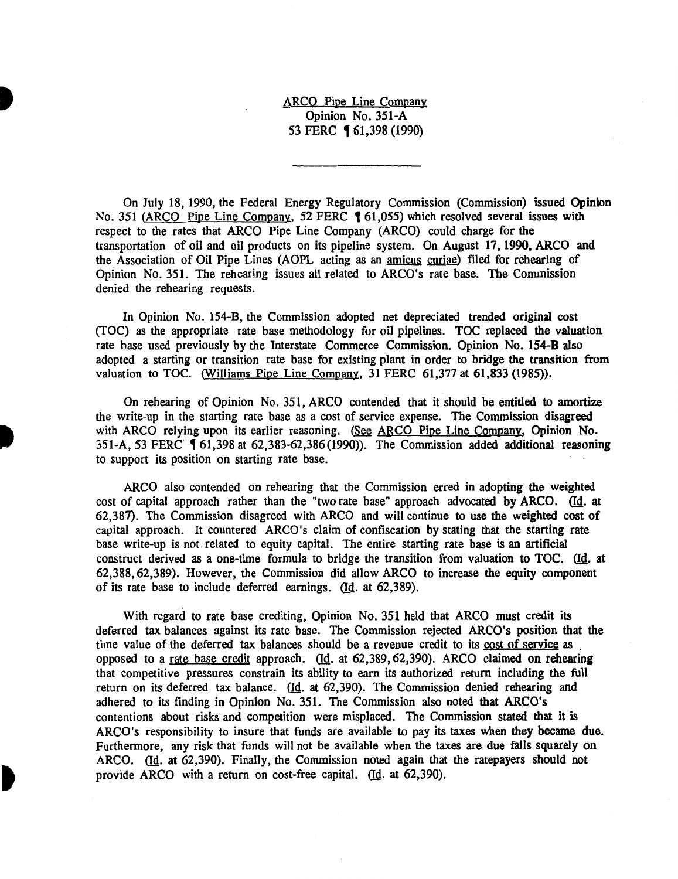ARCO Pipe Line Company Opinion No. 351-A 53 FERC **[61,398 (1990)** 

On July 18, 1990, the Federal Energy Regulatory Commission (Commission) issued Opinion No. 351 (ARCO Pipe Line Company, 52 FERC 161,055) which resolved several issues with respect to the rates that ARCO Pipe Line Company (ARCO) could charge for the transportation of oil and oil products on its pipeline system. On August 17, 1990, ARCO and the Association of Oil Pipe Lines (AOPL acting as an amicus curiae) filed for rehearing of Opinion No. 351. The rehearing issues all related to ARCO's rate base. The Commission denied the rehearing requests.

In Opinion No. 154-B, the Commission adopted net depreciated trended original cost (fOC) as the appropriate rate base methodology for oil pipelines. TOC replaced the valuation rate base used previously by the Interstate Commerce Commission. Opinion No. 154-B also adopted a starting or transition rate base for existing plant in order to bridge the transition from valuation to TOC. (Williams Pipe Line Company, 31 FERC 61,377 at 61,833 (1985)).

On rehearing of Opinion No. 351, ARCO contended that it should be entitled to amortize the write-up in the starting rate base as a cost of service expense. The Commission disagreed with ARCO relying upon its earlier reasoning. (See ARCO Pipe Line Company, Opinion No. 351-A, 53 FERC ( 61,398 at 62,383-62,386(1990)). The Commission added additional reasoning to support its position on starting rate base.

ARCO also contended on rehearing that the Commission erred in adopting the weighted cost of capital approach rather than the "two rate base" approach advocated by ARCO. (Id. at 62,387). The Commission disagreed with ARCO and will continue to use the weighted cost of capital approach. It countered ARCO's claim of confiscation by stating that the starting rate base write-up is not related to equity capital. The entire starting rate base is an artificial construct derived as a one-time formula to bridge the transition from valuation to TOC. (Id. at 62,388, 62,389). However, the Commission did allow ARCO to increase the equity component of its rate base to include deferred earnings.  $(d<sub>c</sub>$  at 62,389).

With regard to rate base crediting, Opinion No. 351 held that ARCO must credit its deferred tax balances against its rate base. The Commission rejected ARCO's position that the time value of the deferred tax balances should be a revenue credit to its cost of service as opposed to a rate base credit approach. (Id. at 62,389, 62,390). ARCO claimed on rehearing that competitive pressures constrain its ability to earn its authorized return including the full return on its deferred tax balance.  $\underline{d}$ . at 62,390). The Commission denied rehearing and adhered to its finding in Opinion No. 351. The Commission also noted that ARCO's contentions about risks and competition were misplaced. The Commission stated that it is ARCO's responsibility to insure that funds are available to pay its taxes when they became due. Furthermore, any risk that funds will not be available when the taxes are due falls squarely on ARCO. (Id. at 62,390). Finally, the Commission noted again that the ratepayers should not provide ARCO with a return on cost-free capital. (Id. at 62,390).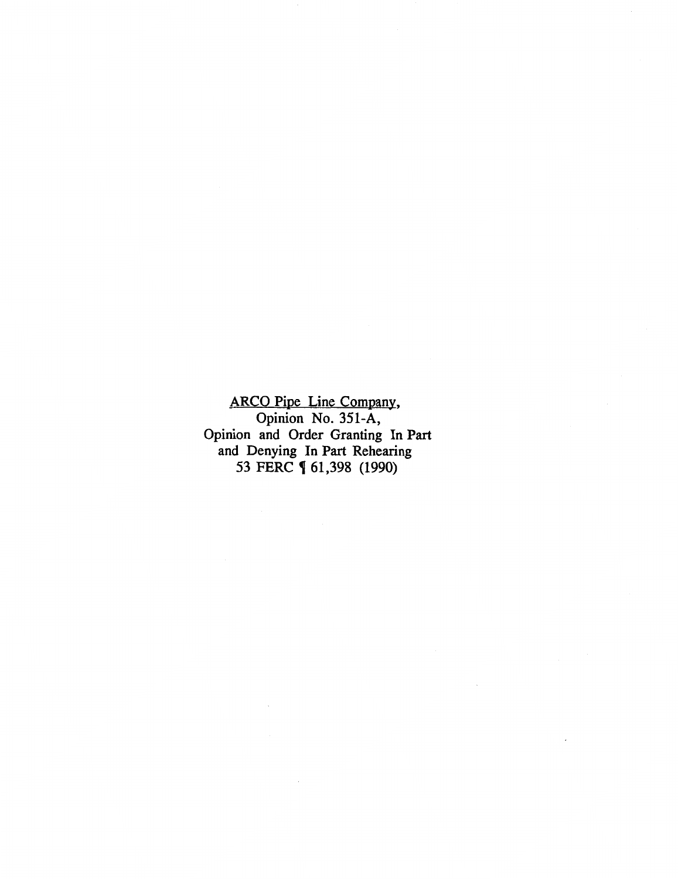ARCO Pipe Line Company, Opinion No. 351-A, Opinion and Order Granting In Part and Denying In Part Rehearing 53 FERC **(61,398 (1990)**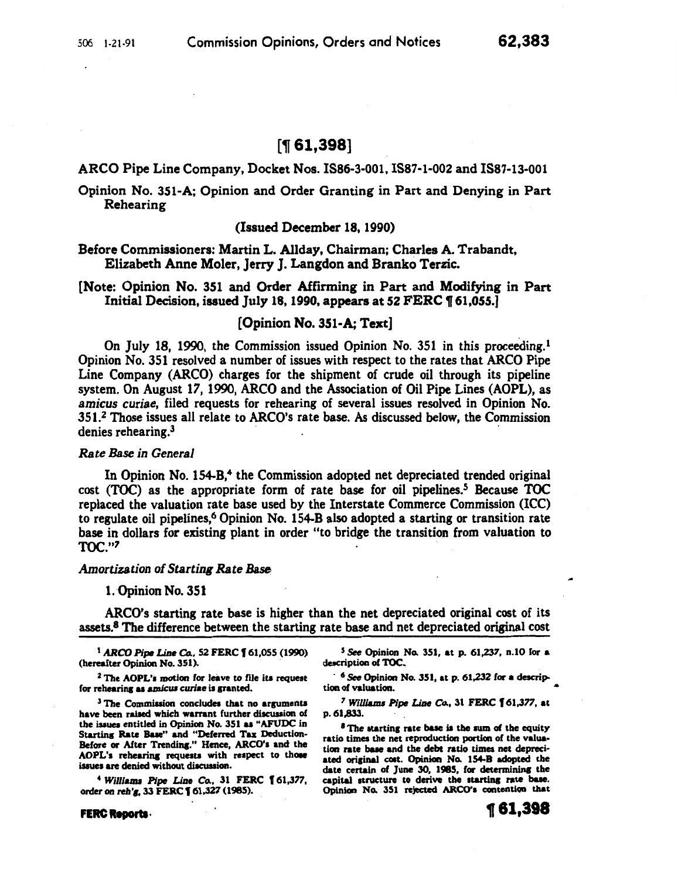# $[$  [[ 61,398]

ARCO Pipe Line Company, Docket Nos. 1886-3-001,1887-1-002 and 1887-13-001

Opinion No. 351-A; Opinion and Order Granting in Part and Denying in Part Rehearing

#### (Issued December 18, 1990)

Before Commissioners: Martin L. Allday, Chairman; Charles A. Trabandt, Elizabeth Anne Moler, jerry J. Langdon and Branko Terzic.

[Note: Opinion No. 351 and Order Affirming in Part and Modifying in Part Initial Decision, issued July 18, 1990, appears at 52 FERC  $\P$  61,055.

## [Opinion No. 351-A; Text]

On July 18, 1990, the Commission issued Opinion No. 351 in this proceeding.<sup>1</sup> Opinion No. 351 resolved a number of issues with respect to the rates that ARCO Pipe Line Company (ARCO) charges for the shipment of crude oil through its pipeline system. On August 17, 1990, ARCO and the Association of Oil Pipe Lines (AOPL), as *amicus curiae,* filed requests for rehearing of several issues resolved in Opinion No. 351.2 Those issues all relate to ARCO's rate base. As discussed below, the Commission denies rehearing.<sup>3</sup>

#### *Rate Base in General*

In Opinion No.  $154-B$ <sup>4</sup> the Commission adopted net depreciated trended original cost (TOC) as the appropriate form of rate base for oil pipelines.5 Because TOC replaced the valuation rate base used by the Interstate Commerce Commission (ICC) to regulate oil pipelines,<sup>6</sup> Opinion No. 154-B also adopted a starting or transition rate base in dollars for existing plant in order "to bridge the transition from valuation to TOC."7

#### *Amortization of Starting Rate Base*

#### 1. Opinion No. 351

ARCO's starting rate base is higher than the net depreciated original cost of its assets.<sup>8</sup> The difference between the starting rate base and net depreciated original cost

<sup>I</sup>ARCO *Pipe* Line *Co.,* 52 FERC f 61,055 (1990) (hereafter Opinion No. 351).

 $2$  The AOPL's motion for leave to file its request for rehearing as amicus curiae is granted.

 $3$  The Commission concludes that no arguments have been raised which warrant further discussion of the issues entitled in Opinion No. 351 as "AFUDC in Starting Rate Base" and "Deferred Tax Deduction-Before or After Trending." Hence, ARCO's and the AOPL's rehearing requests with respect to those issues are denied without discussion.

<sup>4</sup>*Willianu Pipe Line Co.,* 31 FERC f 61,377, order on reh'g, 33 FERC **[** 61,327 (1985).

 $5$  See Opinion No. 351, at p. 61,237, n.10 for a description of TOC.

 $6$  See Opinion No. 351, at p. 61,232 for a description of valuation.

<sup>7</sup> Williams Pipe Line Co., 31 FERC 161,377, at p.61,833.

 $<sup>8</sup>$  The starting rate base is the sum of the equity</sup> ratio times the net reproduction portion of the valuation rate base and the debt ratio times net depreciated original cost. Opinion No. 154-B adopted the date certain of June 30, 1985, for determining the capital structure to derive the starting rate base. Opinion No. 351 rejected ARCO's contention that

FERC Reports.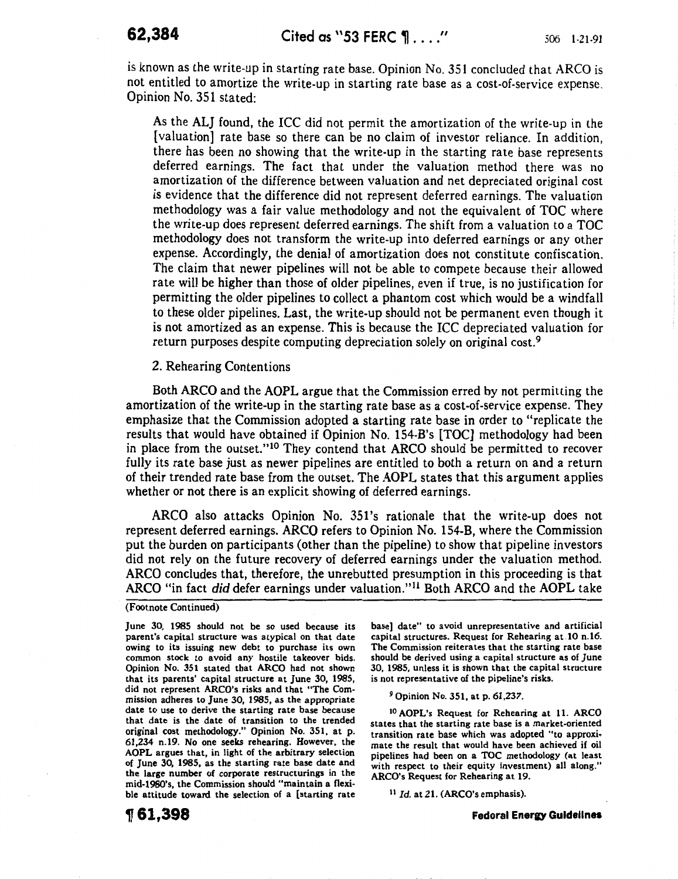is known as the write-up in starting rate base. Opinion No. 351 concluded that ARCO is not entitled to amortize the write-up in starting rate base as a cost-of-service expense. Opinion No. 351 stated:

As the ALJ found, the ICC did not permit the amortization of the write-up in the [valuation] rate base so there can be no claim of investor reliance. In addition, there has been no showing that the write-up in the starting rate base represents deferred earnings. The fact that under the valuation method there was no amortization of the difference between valuation and net depreciated original cost is evidence that the difference did not represent deferred earnings. The valuation methodology was a fair value methodology and not the equivalent of TOC where the write-up does represent deferred earnings. The shift from a valuation to a TOC methodology does not transform the write-up into deferred earnings or any other expense. Accordingly, the denial of amortization does not constitute confiscation. The claim that newer pipelines will not be able to compete because their allowed rate will be higher than those of older pipelines, even if true, is no justification for permitting the older pipelines to collect a phantom cost which would be a windfall to these older pipelines. Last, the write-up should not be permanent even though it is not amortized as an expense. This is because the ICC depreciated valuation for return purposes despite computing depreciation solely on original cost.9

## 2. Rehearing Contentions

Both ARCO and the AOPL argue that the Commission erred by not permitting the amortization of the write-up in the starting rate base as a cost-of-service expense. They emphasize that the Commission adopted a starting rate base in order to "replicate the results that would have obtained if Opinion No. 154-B's [TOC] methodology had been in place from the outset."10 They contend that ARCO should be permitted to recover fully its rate base just as newer pipelines are entitled to both a return on and a return of their trended rate base from the outset. The AOPL states that this argument applies whether or not there is an explicit showing of deferred earnings.

ARCO also attacks Opinion No. 351's rationale that the write-up does not represent deferred earnings. ARCO refers to Opinion No. 154-B, where the Commission put the burden on participants (other than the pipeline) to show that pipeline investors did not rely on the future recovery of deferred earnings under the valuation method. ARCO concludes that, therefore, the unrebutted presumption in this proceeding is that ARCO "in fact did defer earnings under valuation."<sup>11</sup> Both ARCO and the AOPL take

#### (Footnote Continued)

June 30, 1985 should not be so used because its parent's capital structure was atypical on that date owing to its issuing new debt to purchase its own common stock to avoid any hostile takeover bids. Opinion No. 351 stated that ARCO had not shown that its parents' capital structure at June 30, 1985, did not represent ARCO's risks and that "The Commission adheres to June 30, 1985, as the appropriate date to use to derive the starting rate base because that date is the date of transition to the trended original cost methodology." Opinion No. 351, at p. 61,234 n.t9. No one seeks rehearing. However, the AOPL argues that, in light of the arbitrary selection of June 30, 1985, as the starting rate base date and the large number of corporate restructurings in the mid-1980's, the Commission should "maintain a flexible attitude toward the selection of a [starting rate

The Commission reiterates that the starting rate base should be derived using a capital structure as of June 30, 1985, unless it is shown that the capital structure is not representative of the pipeline's risks. 9 Opinion No. 351, at p. 61,237.

<sup>10</sup> AOPL's Request for Rehearing at 11. ARCO states that the starting rate base is a market-oriented transition rate base which was adopted "to approximate the result that would have been achieved if oil pipelines had been on a TOC methodology (at least with respect to their equity investment) all along." ARCO's Request for Rehearing at 19.

base] date" to avoid unrepresentative and artificial capital structures. Request for Rehearing at 10 n.16.

<sup>11</sup> *Id.* at 21. (ARCO's emphasis).

~61,398

**Fedoral Enera;y Guidelines**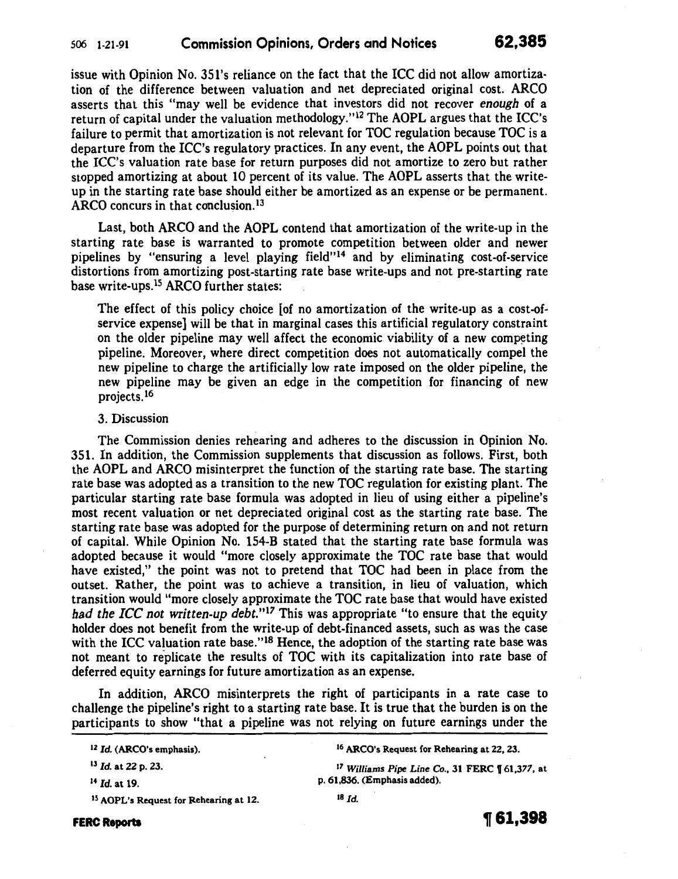issue with Opinion No. 351's reliance on the fact that the ICC did not allow amortization of the difference between valuation and net depreciated original cost. ARCO asserts that this "may well be evidence that investors did not recover *enough* of a return of capital under the valuation methodology."<sup>12</sup> The AOPL argues that the ICC's failure to permit that amortization is not relevant for TOC regulation because TOC is a departure from the ICC's regulatory practices. In any event, the AOPL points out that the ICC's valuation rate base for return purposes did not amortize to zero but rather stopped amortizing at about 10 percent of its value. The AOPL asserts that the writeup in the starting rate base should either be amortized as an expense or be permanent. ARCO concurs in that conclusion. $^{13}$ 

Last, both ARCO and the AOPL contend that amortization of the write-up in the starting rate base is warranted to promote competition between older and newer pipelines by "ensuring a level playing field"<sup>14</sup> and by eliminating cost-of-service distortions from amortizing post-starting rate base write-ups and not pre-starting rate base write-ups.<sup>15</sup> ARCO further states:

The effect of this policy choice [of no amortization of the write-up as a cost-ofservice expense] will be that in marginal cases this artificial regulatory constraint on the older pipeline may well affect the economic viability of a new competing pipeline. Moreover, where direct competition does not automatically compel the new pipeline to charge the artificially low rate imposed on the older pipeline, the new pipeline may be given an edge in the competition for financing of new projects.16

### 3. Discussion

The Commission denies rehearing and adheres to the discussion in Opinion No. 351. In addition, the Commission supplements that discussion as follows. First, both the AOPL and ARCO misinterpret the function of the starting rate base. The starting rate base was adopted as a transition to the new TOC regulation for existing plant. The particular starting rate base formula was adopted in lieu of using either a pipeline's most recent valuation or net depreciated original cost as the starting rate base. The starting rate base was adopted for the purpose of determining return on and not return of capital. While Opinion No. 154-B stated that the starting rate base formula was adopted because it would "more closely approximate the TOC rate base that would have existed," the point was not to pretend that TOC had been in place from the outset. Rather, the point was to achieve a transition, in lieu of valuation, which transition would "more closely approximate the TOC rate base that would have existed *had the ICC not written-up debt.*"<sup>17</sup> This was appropriate "to ensure that the equity holder does not benefit from the write-up of debt-financed assets, such as was the case with the ICC valuation rate base."<sup>18</sup> Hence, the adoption of the starting rate base was not meant to replicate the results of TOC with its capitalization into rate base of deferred equity earnings for future amortization as an expense.

In addition, ARCO misinterprets the right of participants in a rate case to challenge the pipeline's right to a starting rate base. It is true that the burden is on the participants to show "that a pipeline was not relying on future earnings under the

<sup>14</sup> Id. at 19.

1 6 ARCO's Request for Rehearing at 22, 23.

1 <sup>7</sup>*Williams Pipe Line Co.,* 31 FERC f 61,377, at p. 61,836. (Emphasis added).

**FERC Reports** 



<sup>12</sup> *Id.* (ARCO's emphasis).

<sup>13</sup> *Id.* at 22 p. 23.

<sup>15</sup> AOPL's Request for Rehearing at 12.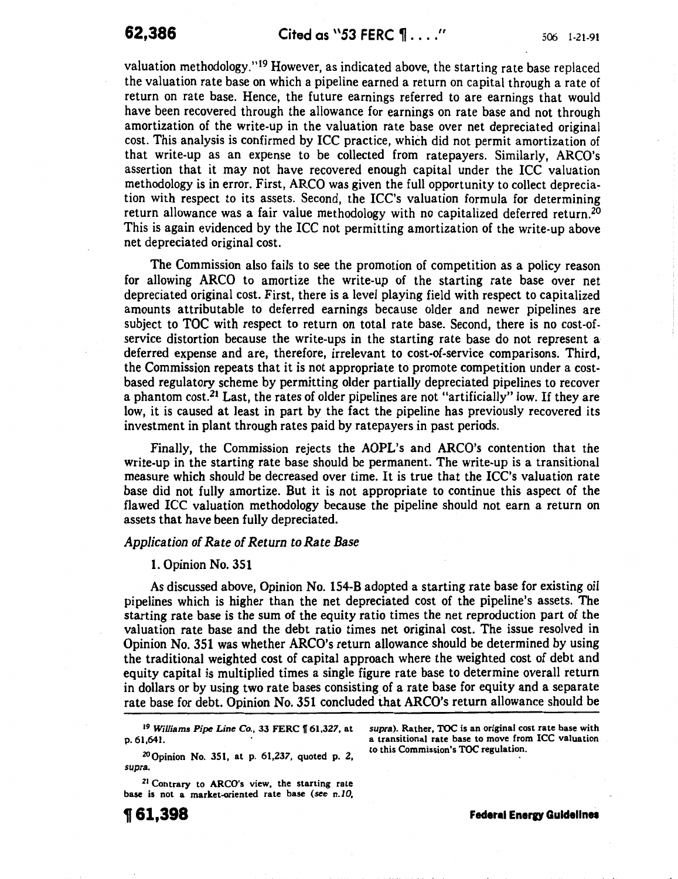valuation methodology."<sup>19</sup> However, as indicated above, the starting rate base replaced the valuation rate base on which a pipeline earned a return on capital through a rate of return on rate base. Hence, the future earnings referred to are earnings that would have been recovered through the allowance for earnings on rate base and not through amortization of the write-up in the valuation rate base over net depreciated original cost. This analysis is confirmed by ICC practice, which did not permit amortization of that write-up as an expense to be collected from ratepayers. Similarly, ARCO's assertion that it may not have recovered enough capital under the ICC valuation methodology is in error. First, ARCO was given the full opportunity to collect depreciation with respect to its assets. Second, the ICC's valuation formula for determining return allowance was a fair value methodology with no capitalized deferred return.<sup>20</sup> This is again evidenced by the ICC not permitting amortization of the write-up above net depreciated original cost.

The Commission also fails to see the promotion of competition as a policy reason for allowing ARCO to amortize the write-up of the starting rate base over net depreciated original cost. First, there is a level playing field with respect to capitalized amounts attributable to deferred earnings because older and newer pipelines are subject to TOC with respect to return on total rate base. Second, there is no cost-ofservice distortion because the write-ups in the starting rate base do not represent a deferred expense and are, therefore, irrelevant to cost-of-service comparisons. Third, the Commission repeats that it is not appropriate to promote competition under a costbased regulatory scheme by permitting older partially depreciated pipelines to recover a phantom cost.21 Last, the rates of older pipelines are not "artificially" low. If they are low, it is caused at least in part by the fact the pipeline has previously recovered its investment in plant through rates paid by ratepayers in past periods.

Finally, the Commission rejects the AOPL's and ARCO's contention that the write-up in the starting rate base should be permanent. The write-up is a transitional measure which should be decreased over time. It is true that the ICC's valuation rate base did not fully amortize. But it is not appropriate to continue this aspect of the flawed ICC valuation methodology because the pipeline should not earn a return on assets that have been fully depreciated.

#### *Application of Rate of Return to Rate Base*

#### 1. Opinion No. 351

As discussed above, Opinion No. 154-B adopted a starting rate base for existing oil pipelines which is higher than the net depreciated cost of the pipeline's assets. The starting rate base is the sum of the equity ratio times the net reproduction part of the valuation rate base and the debt ratio times net original cost. The issue resolved in Opinion No. 351 was whether ARCO's return allowance should be determined by using the traditional weighted cost of capital approach where the weighted cost of debt and equity capital is multiplied times a single figure rate base to determine overall return in dollars or by using two rate bases consisting of a rate base for equity and a separate rate base for debt. Opinion No. 351 concluded that ARCO's return allowance should be

<sup>19</sup> Williams Pipe Line Co., 33 FERC 161,327, at p. 61,641.

zo Opinion No. 351, at p. 61,237, quoted p. 2, supra.

<sup>21</sup> Contrary to ARCO's view, the starting rate base is not a market-oriented rate base (see n.10,

**1161,398** 

supra). Rather, TOC is an original cost rate base with a transitional rate base to move from ICC valuation to this Commission's TOC regulation.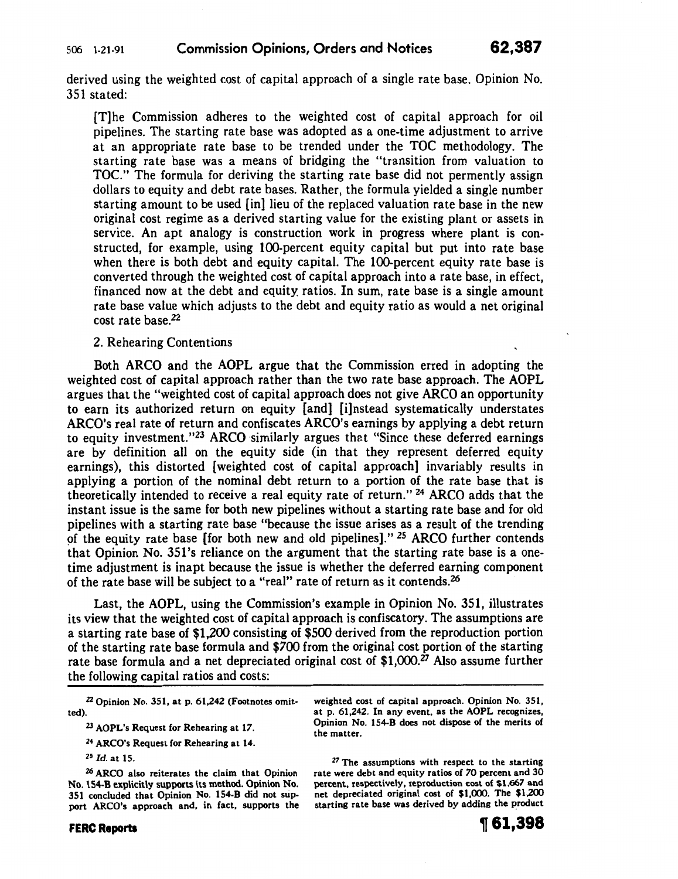derived using the weighted cost of capital approach of a single rate base. Opinion No. 351 stated:

[T]he Commission adheres to the weighted cost of capital approach for oil pipelines. The starting rate base was adopted as a one-time adjustment to arrive at an appropriate rate base to be trended under the TOC methodology. The starting rate base was a means of bridging the "transition from valuation to TOC." The formula for deriving the starting rate base did not permently assign dollars to equity and debt rate bases. Rather, the formula yielded a single number starting amount to be used [in] lieu of the replaced valuation rate base in the new original cost regime as a derived starting value for the existing plant or assets in service. An apt analogy is construction work in progress where plant is constructed, for example, using tOO-percent equity capital but put into rate base when there is both debt and equity capital. The 100-percent equity rate base is converted through the weighted cost of capital approach into a rate base, in effect, financed now at the debt and equity ratios. In sum, rate base is a single amount rate base value which adjusts to the debt and equity ratio as would a net original cost rate base.<sup>22</sup>

## 2. Rehearing Contentions

Both ARCO and the AOPL argue that the Commission erred in adopting the weighted cost of capital approach rather than the two rate base approach. The AOPL argues that the "weighted cost of capital approach does not give ARCO an opportunity to earn its authorized return on equity [and] [i]nstead systematically understates ARCO's real rate of return and confiscates ARCO's earnings by applying a debt return to equity investment."<sup>23</sup>ARCO similarly argues that "Since these deferred earnings are by definition all on the equity side (in that they represent deferred equity earnings), this distorted [weighted cost of capital approach] invariably results in applying a portion of the nominal debt return to a portion of the rate base that is theoretically intended to receive a real equity rate of return." 24 ARCO adds that the instant issue is the same for both new pipelines without a starting rate base and for old pipelines with a starting rate base "because the issue arises as a result of the trending of the equity rate base [for both new and old pipelines]." <sup>25</sup> ARCO further contends that Opinion No. 351's reliance on the argument that the starting rate base is a onetime adjustment is inapt because the issue is whether the deferred earning component of the rate base will be subject to a "real" rate of return as it contends.<sup>26</sup>

Last, the AOPL, using the Commission's example in Opinion No. 351, illustrates its view that the weighted cost of capital approach is confiscatory. The assumptions are a starting rate base of \$1,200 consisting of \$500 derived from the reproduction portion of the starting rate base formula and \$700 from the original cost portion of the starting rate base formula and a net depreciated original cost of \$1,000.*27* Also assume further the following capital ratios and costs:

 $22$  Opinion No. 351, at p. 61,242 (Footnotes omitted).

weighted cost of capital approach. Opinion No. 351, at p. 61,242. In any event, as the AOPL recognizes, Opinion No. 154-B does not dispose of the merits of the matter.

<sup>27</sup> The assumptions with respect to the starting rate were debt and equity ratios of *70* percent and 30 percent, respectively, reproduction cost of \$1,667 and net depreciated original cost of \$1,000. The \$1,200 starting rate base was derived by adding the product

<sup>23</sup> AOPL's Request for Rehearing at 17.

<sup>24</sup> ARCO's Request for Rehearing at 14.

<sup>25</sup>*Id.* at 15.

*Z6* ARCO also reiterates the claim that Opinion No. 154-B explicitly supports its method. Opinion No. 351 concluded that Opinion No. 154-B did not support ARCO's approach and, in fact, supports the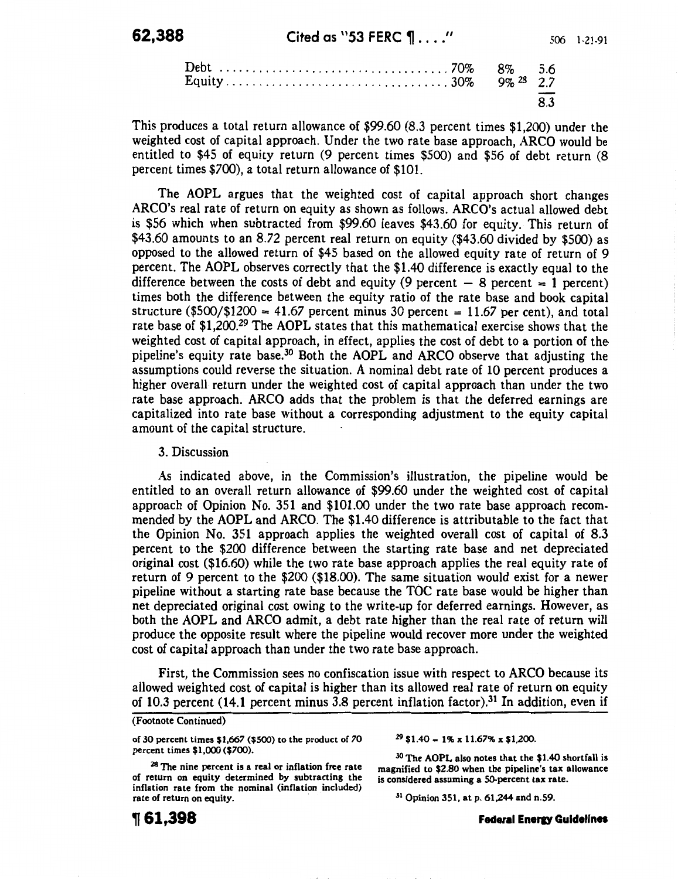|  |  | 83 |
|--|--|----|
|--|--|----|

This produces a total return allowance of \$99.60 (8.3 percent times \$1,200) under the weighted cost of capital approach. Under the two rate base approach, ARCO would be entitled to \$45 of equity return (9 percent times \$500) and \$56 of debt return (8 percent times \$700), a total return allowance of \$101.

The AOPL argues that the weighted cost of capital approach short changes ARCO's real rate of return on equity as shown as follows. ARCO's actual allowed debt is \$56 which when subtracted from \$99.60 leaves \$43.60 for equity. This return of \$43.60 amounts to an 8.72 percent real return on equity (\$43.60 divided by \$500) as opposed to the allowed return of \$45 based on the allowed equity rate of return of 9 percent. The AOPL observes correctly that the \$1.40 difference is exactly equal to the difference between the costs of debt and equity (9 percent  $-$  8 percent = 1 percent) times both the difference between the equity ratio of the rate base and book capital structure (\$500/\$1200 = 41.67 percent minus 30 percent = 11.67 per cent), and total rate base of \$1,200.29 The AOPL states that this mathematical exercise shows that the weighted cost of capital approach, in effect, applies the cost of debt to a portion of the pipeline's equity rate base.30 Both the AOPL and ARCO observe that adjusting the assumptions could reverse the situation. A nominal debt rate of 10 percent produces a higher overall return under the weighted cost of capital approach than under the two rate base approach. ARCO adds that the problem is that the deferred earnings are capitalized into rate base without a corresponding adjustment to the equity capital amount of the capital structure.

3. Discussion

As indicated above, in the Commission's illustration, the pipeline would be entitled to an overall return allowance of \$99.60 under the weighted cost of capital approach of Opinion No. 351 and \$101.00 under the two rate base approach recommended by the AOPL and ARCO. The \$1.40 difference is attributable to the fact that the Opinion No. 351 approach applies the weighted overall cost of capital of 8.3 percent to the \$200 difference between the starting rate base and net depreciated original cost (\$16.60) while the two rate base approach applies the real equity rate of return of 9 percent to the \$200 (\$18.00). The same situation would exist for a newer pipeline without a starting rate base because the TOC rate base would be higher than net depreciated original cost owing to the write-up for deferred earnings. However, as both the AOPL and ARCO admit, a debt rate higher than the real rate of return will produce the opposite result where the pipeline would recover more under the weighted cost of capital approach than under the two rate base approach.

First, the Commission sees no confiscation issue with respect to ARCO because its allowed weighted cost of capital is higher than its allowed real rate of return on equity of 10.3 percent (14.1 percent minus 3.8 percent inflation factor).31 In addition, even if

of 30 percent times \$1,667 (\$500) to the product of 70 percent times \$1,000 (\$700).

 $29$  \$1.40 = 1% x 11.67% x \$1,200

<sup>28</sup> The nine percent is a real or inflation free rate of return on equity determined by subtracting the inflation rate from the nominal (inflation included) rate of return on equity.

30 The AOPL also notes that the \$1.40 shortfall is magnified to \$2.80 when the pipeline's tax allowance is considered assuming a 50-percent tax rate.

31 Opinion 351, at p. 61,244 and n.59.

Federal Energy Guidelines

<sup>(</sup>Footnote Continued)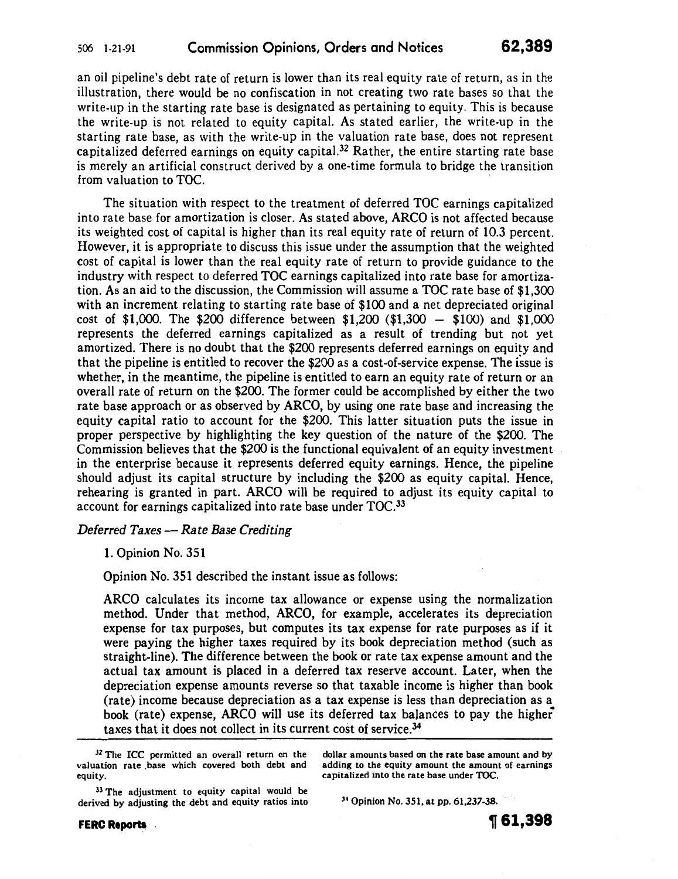an oil pipeline's debt rate of return is lower than its real equity rate of return, as in the illustration, there would be no confiscation in not creating two rate bases so that the write-up in the starting rate base is designated as pertaining to equity. This is because the write-up is not related to equity capital. As stated earlier, the write-up in the starting rate base, as with the write-up in the valuation rate base, does not represent capitalized deferred earnings on equity capital.<sup>32</sup> Rather, the entire starting rate base is merely an artificial construct derived by a one-time formula to bridge the transition from valuation to TOC. ·

The situation with respect to the treatment of deferred TOC earnings capitalized into rate base for amortization is closer. As stated above, ARCO is not affected because its weighted cost of capital is higher than its real equity rate of return of 10.3 percent. However, it is appropriate to discuss this issue under the assumption that the weighted cost of capital is lower than the real equity rate of return to provide guidance to the industry with respect to deferred TOC earnings capitalized into rate base for amortization. As an aid to the discussion, the Commission will assume a TOC rate base of \$1,300 with an increment relating to starting rate base of \$100 and a net depreciated original cost of \$1,000. The \$200 difference between  $$1,200$  (\$1,300 - \$100) and \$1,000 represents the deferred earnings capitalized as a result of trending but not yet amortized. There is no doubt that the \$200 represents deferred earnings on equity and that the pipeline is entitled to recover the \$200 as a cost-of-service expense. The issue is whether, in the meantime, the pipeline is entitled to earn an equity rate of return or an overall rate of return on the \$200. The former could be accomplished by either the two rate base approach or as observed by ARCO, by using one rate base and increasing the equity capital ratio to account for the \$200. This latter situation puts the issue in proper perspective by highlighting the key question of the nature of the \$200. The Commission believes that the \$200 is the functional equivalent of an equity investment in the enterprise because it represents deferred equity earnings. Hence, the pipeline should adjust its capital structure by including the \$200 as equity capital. Hence, rehearing is granted in part. ARCO will be required to adjust its equity capital to account for earnings capitalized into rate base under TOC.33

## *Deferred Taxes- Rate Base Crediting*

1. Opinion No. 351

Opinion No. 351 described the instant issue as follows:

ARCO calculates its income tax allowance or expense using the normalization method. Under that method, ARCO, for example, accelerates its depreciation expense for tax purposes, but computes its tax expense for rate purposes as if it were paying the higher taxes required by its book depreciation method (such as straight-line). The difference between the book or rate tax expense amount and the actual tax amount is placed in a deferred tax reserve account. Later, when the depreciation expense amounts reverse so that taxable income is higher than book (rate) income because depreciation as a tax expense is less than depreciation as a book (rate) expense, ARCO will use its deferred tax balances to pay the higher taxes that it does not collect in its current cost of service.<sup>34</sup>

<sup>32</sup> The ICC permitted an overall return on the valuation rate .base which covered both debt and equity.

dollar amounts based on the rate base amount and by adding to the equity amount the amount of earnings capitalized into the rate base under TOC.

<sup>33</sup> The adjustment to equity capital would be derived by adjusting the debt and equity ratios into

34 Opinion No. 351, at pp. 61,237-38.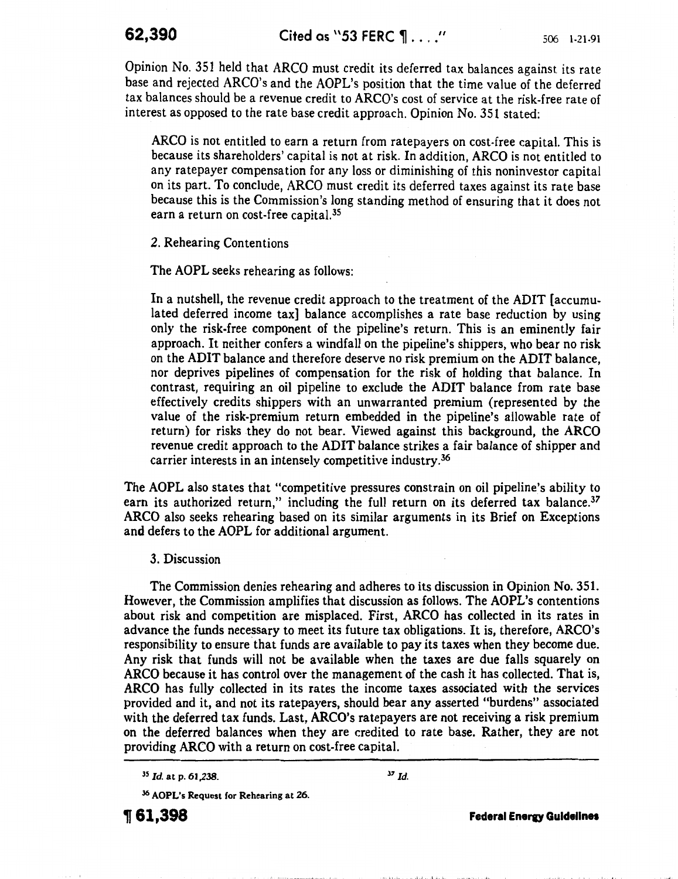Opinion No. 351 held that ARCO must credit its deferred tax balances against its rate base and rejected ARCO's and the AOPL's position that the time value of the deferred tax balances should be a revenue credit to ARCO's cost of service at the risk-free rate of interest as opposed to the rate base credit approach. Opinion No. 351 stated:

ARCO is not entitled to earn a return from ratepayers on cost-free capital. This is because its shareholders' capital is not at risk. In addition, ARCO is not entitled to any ratepayer compensation for any loss or diminishing of this noninvestor capital on its part. To conclude, ARCO must credit its deferred taxes against its rate base because this is the Commission's long standing method of ensuring that it does not earn a return on cost-free capital.<sup>35</sup>

2. Rehearing Contentions

The AOPL seeks rehearing as follows:

In a nutshell, the revenue credit approach to the treatment of the ADIT [accumulated deferred income tax] balance accomplishes a rate base reduction by using only the risk-free component of the pipeline's return. This is an eminently fair approach. It neither confers a windfall on the pipeline's shippers, who bear no risk on the ADIT balance and therefore deserve no risk premium on the ADIT balance, nor deprives pipelines of compensation for the risk of holding that balance. In contrast, requiring an oil pipeline to exclude the ADIT balance from rate base effectively credits shippers with an unwarranted premium (represented by the value of the risk-premium return embedded in the pipeline's allowable rate of return) for risks they do not bear. Viewed against this background, the ARCO revenue credit approach to the ADIT balance strikes a fair balance of shipper and carrier interests in an intensely competitive industry.36

The AOPL also states that "competitive pressures constrain on oil pipeline's ability to earn its authorized return," including the full return on its deferred tax balance.<sup>37</sup> ARCO also seeks rehearing based on its similar arguments in its Brief on Exceptions and defers to the AOPL for additional argument.

## 3. Discussion

The Commission denies rehearing and adheres to its discussion in Opinion No. 351. However, the Commission amplifies that discussion as follows. The AOPL's contentions about risk and competition are misplaced. First, ARCO has collected in its rates in advance the funds necessary to meet its future tax obligations. It is, therefore, ARCO's responsibility to ensure that funds are available to pay its taxes when they become due. Any risk that funds will not be available when the taxes are due falls squarely on ARCO because it has control over the management of the cash it has collected. That is, ARCO has fully collected in its rates the income taxes associated with the services provided and it, and not its ratepayers, should bear any asserted "burdens" associated with the deferred tax funds. Last, ARCO's ratepayers are not receiving a risk premium on the deferred balances when they are credited to rate base. Rather, they are not providing ARCO with a return on cost-free capital.

36 AOPL's Request for Rehearing at 26.

~61,398 Federal Enerv Guidelines

·I"''

<sup>&</sup>lt;sup>35</sup> *Id.* at p. 61,238. <sup>37</sup> *Id.*